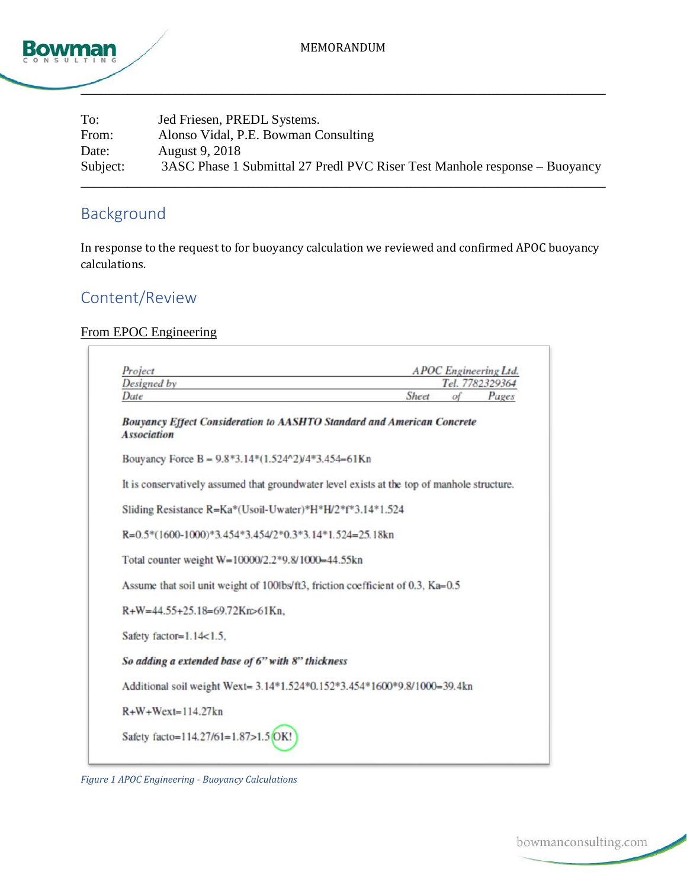

| To:      | Jed Friesen, PREDL Systems.                                                |
|----------|----------------------------------------------------------------------------|
| From:    | Alonso Vidal, P.E. Bowman Consulting                                       |
| Date:    | August 9, 2018                                                             |
| Subject: | 3ASC Phase 1 Submittal 27 Predl PVC Riser Test Manhole response – Buoyancy |
|          |                                                                            |

# Background

In response to the request to for buoyancy calculation we reviewed and confirmed APOC buoyancy calculations.

### Content/Review

### From EPOC Engineering

| Project                                                                                             |       |            | <b>APOC</b> Engineering Ltd. |
|-----------------------------------------------------------------------------------------------------|-------|------------|------------------------------|
| Designed by<br>Date                                                                                 | Sheet | $\sigma$ f | Tel. 7782329364<br>Pages     |
|                                                                                                     |       |            |                              |
| <b>Bouyancy Effect Consideration to AASHTO Standard and American Concrete</b><br><b>Association</b> |       |            |                              |
| Bouyancy Force B = $9.8*3.14*(1.524^2)/4*3.454=61$ Kn                                               |       |            |                              |
| It is conservatively assumed that groundwater level exists at the top of manhole structure.         |       |            |                              |
| Sliding Resistance R=Ka*(Usoil-Uwater)*H*H/2*f*3.14*1.524                                           |       |            |                              |
| $R=0.5*(1600-1000)*3.454*3.454/2*0.3*3.14*1.524=25.18kn$                                            |       |            |                              |
| Total counter weight W=10000/2.2*9.8/1000=44.55kn                                                   |       |            |                              |
| Assume that soil unit weight of 100lbs/ft3, friction coefficient of 0.3, Ka=0.5                     |       |            |                              |
| R+W=44.55+25.18=69.72Kn>61Kn.                                                                       |       |            |                              |
| Safety factor=1.14<1.5,                                                                             |       |            |                              |
| So adding a extended base of 6" with 8" thickness                                                   |       |            |                              |
| Additional soil weight Wext= 3.14*1.524*0.152*3.454*1600*9.8/1000=39.4kn                            |       |            |                              |
| $R+W+W$ ext=114.27kn                                                                                |       |            |                              |
| Safety facto=114.27/61=1.87>1.5 OK!                                                                 |       |            |                              |

<span id="page-0-0"></span>*Figure 1 APOC Engineering - Buoyancy Calculations*

bowmanconsulting.com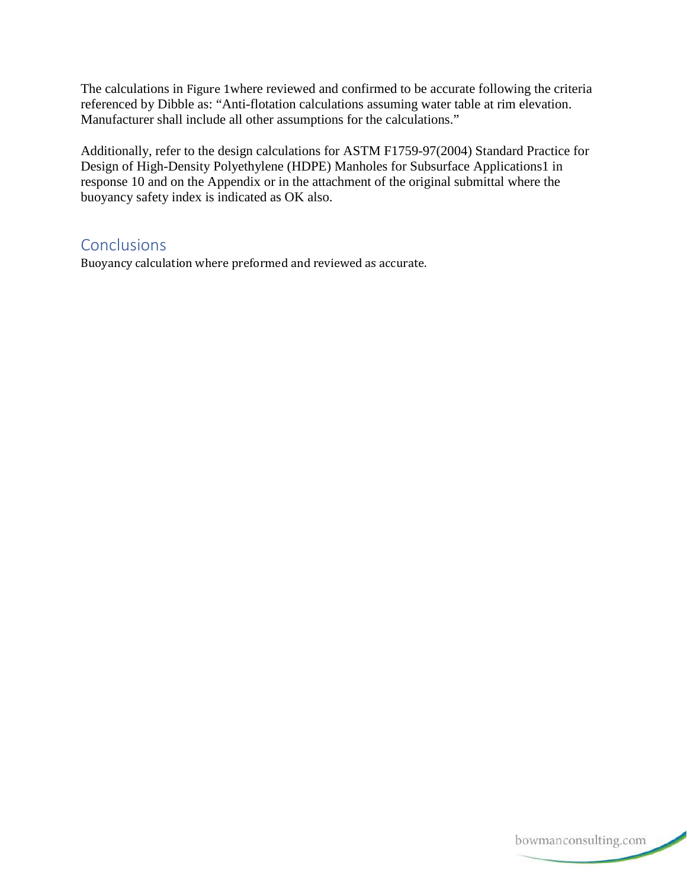The calculations in [Figure 1](#page-0-0)where reviewed and confirmed to be accurate following the criteria referenced by Dibble as: "Anti-flotation calculations assuming water table at rim elevation. Manufacturer shall include all other assumptions for the calculations."

Additionally, refer to the design calculations for ASTM F1759-97(2004) Standard Practice for Design of High-Density Polyethylene (HDPE) Manholes for Subsurface Applications1 in response 10 and on the Appendix or in the attachment of the original submittal where the buoyancy safety index is indicated as OK also.

### **Conclusions**

Buoyancy calculation where preformed and reviewed as accurate.

bowmanconsulting.com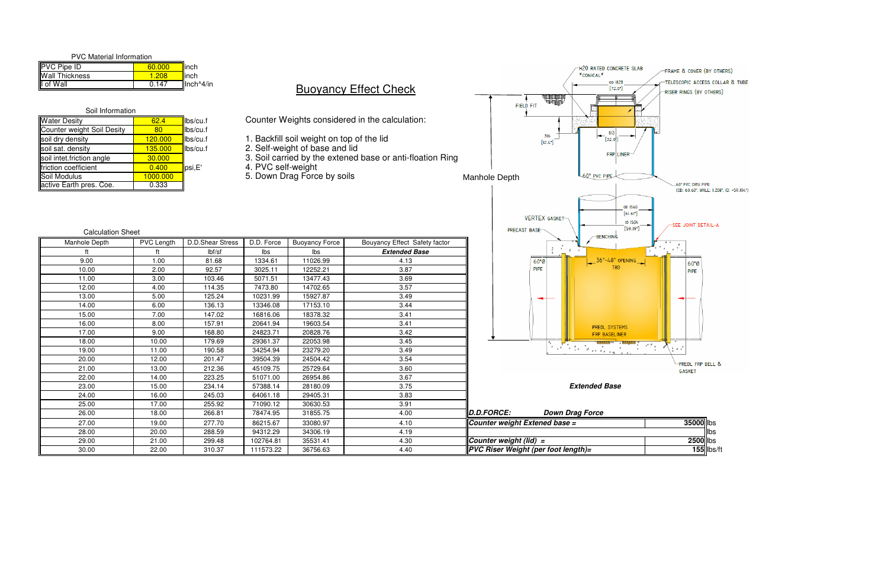- 1. Backfill soil weight on top of the lid
- 2. Self-weight of base and lid
- <u>0 |</u> 3. Soil carried by the extened base or anti-floation Ring
	-
	-

| <b>PVC Material Information</b> |        |                     |
|---------------------------------|--------|---------------------|
| <b>PVC Pipe ID</b>              | 60,000 | linch               |
| <b>Wall Thickness</b>           | 1 208  | <mark>∥</mark> inch |
| I of Wall                       | 0.147  | $Il$ nch $^4/$ in   |

#### Water Desity 62.4 lbs/cu.f Counter weight Soil Desity soil dry density<br>soil sat. density 135.000 lbs/cu.f soil sat. density<br>soil intet friction angle **135.000** soil intet.friction angle 30.000<br>friction coefficient 6.400 friction coefficient 0.400 psi,E' 4. PVC self-weight 5. Down Drag Force by soilsSoil Modulus 1000.000 0.333active Earth pres. Coe.Soil Information

## **Buoyancy Effect Check**

| Manhole Depth | PVC Length | D.D.Shear Stress | D.D. Force | <b>Buoyancy Force</b> | Bouyancy Effect Safety factor |                               | <b>DEINCHING</b>                                                                                                                                                                                                               | 4 4                   |
|---------------|------------|------------------|------------|-----------------------|-------------------------------|-------------------------------|--------------------------------------------------------------------------------------------------------------------------------------------------------------------------------------------------------------------------------|-----------------------|
|               |            | lbf/sf           | lbs        | lbs                   | <b>Extended Base</b>          |                               |                                                                                                                                                                                                                                |                       |
| 9.00          | 1.00       | 81.68            | 1334.61    | 11026.99              | 4.13                          |                               | $36" - 48"$ OPENING<br>$60°$ Ø                                                                                                                                                                                                 | 60"Ø                  |
| 10.00         | 2.00       | 92.57            | 3025.11    | 12252.21              | 3.87                          |                               | <b>TBD</b><br><b>PIPE</b>                                                                                                                                                                                                      | <b>PIPE</b>           |
| 11.00         | 3.00       | 103.46           | 5071.51    | 13477.43              | 3.69                          |                               |                                                                                                                                                                                                                                |                       |
| 12.00         | 4.00       | 114.35           | 7473.80    | 14702.65              | 3.57                          |                               |                                                                                                                                                                                                                                |                       |
| 13.00         | 5.00       | 125.24           | 10231.99   | 15927.87              | 3.49                          |                               |                                                                                                                                                                                                                                |                       |
| 14.00         | 6.00       | 136.13           | 13346.08   | 17153.10              | 3.44                          |                               |                                                                                                                                                                                                                                |                       |
| 15.00         | 7.00       | 147.02           | 16816.06   | 18378.32              | 3.41                          |                               |                                                                                                                                                                                                                                |                       |
| 16.00         | 8.00       | 157.91           | 20641.94   | 19603.54              | 3.41                          |                               | <b>PREDL SYSTEMS</b>                                                                                                                                                                                                           |                       |
| 17.00         | 9.00       | 168.80           | 24823.71   | 20828.76              | 3.42                          |                               | <b>FRP BASELINER</b>                                                                                                                                                                                                           |                       |
| 18.00         | 10.00      | 179.69           | 29361.37   | 22053.98              | 3.45                          |                               |                                                                                                                                                                                                                                |                       |
| 19.00         | 11.00      | 190.58           | 34254.94   | 23279.20              | 3.49                          |                               | The television of the Control of the Control of the Control of the Control of the Control of the Control of the Control of the Control of The Control of The Control of The Control of The Control of The Control of The Contr | $+ 44$                |
| 20.00         | 12.00      | 201.47           | 39504.39   | 24504.42              | 3.54                          |                               |                                                                                                                                                                                                                                | <b>PREDL FRP BELL</b> |
| 21.00         | 13.00      | 212.36           | 45109.75   | 25729.64              | 3.60                          |                               |                                                                                                                                                                                                                                | <b>GASKET</b>         |
| 22.00         | 14.00      | 223.25           | 51071.00   | 26954.86              | 3.67                          |                               |                                                                                                                                                                                                                                |                       |
| 23.00         | 15.00      | 234.14           | 57388.14   | 28180.09              | 3.75                          |                               | <b>Extended Base</b>                                                                                                                                                                                                           |                       |
| 24.00         | 16.00      | 245.03           | 64061.18   | 29405.31              | 3.83                          |                               |                                                                                                                                                                                                                                |                       |
| 25.00         | 17.00      | 255.92           | 71090.12   | 30630.53              | 3.91                          |                               |                                                                                                                                                                                                                                |                       |
| 26.00         | 18.00      | 266.81           | 78474.95   | 31855.75              | 4.00                          | D.D.FORCE:                    | <b>Down Drag Force</b>                                                                                                                                                                                                         |                       |
| 27.00         | 19.00      | 277.70           | 86215.67   | 33080.97              | 4.10                          | Counter weight Extened base = |                                                                                                                                                                                                                                | 35000 lbs             |
| 28.00         | 20.00      | 288.59           | 94312.29   | 34306.19              | 4.19                          |                               |                                                                                                                                                                                                                                | <b>II</b> lbs         |
| 29.00         | 21.00      | 299.48           | 102764.81  | 35531.41              | 4.30                          | Counter weight (lid) =        |                                                                                                                                                                                                                                | 2500 lbs              |
| 30.00         | 22.00      | 310.37           | 111573.22  | 36756.63              | 4.40                          |                               | PVC Riser Weight (per foot length)=                                                                                                                                                                                            | $155$   bs            |



Counter Weights considered in the calculation:

## Calculation Sheet

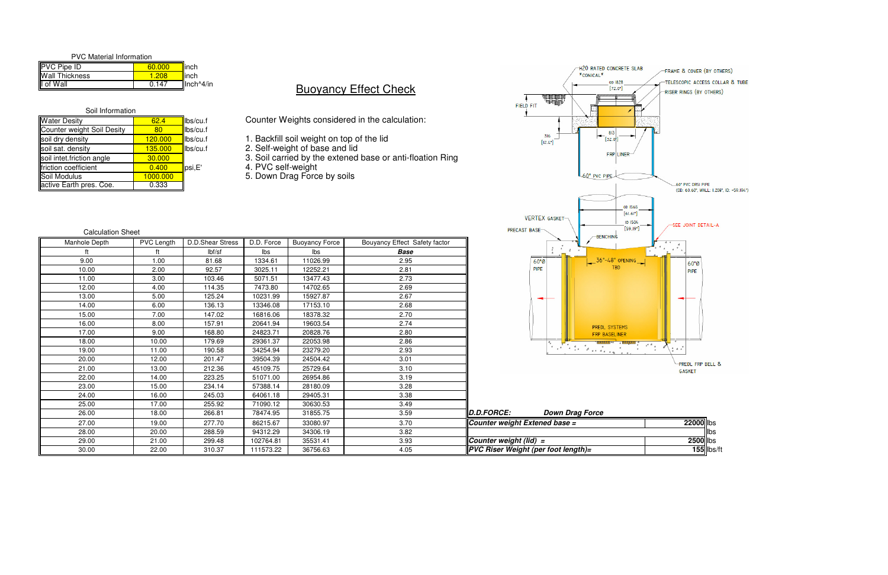| <b>PVC Material Information</b> |        |                                                      |
|---------------------------------|--------|------------------------------------------------------|
| <b>PVC Pipe ID</b>              | 60.000 | llinch                                               |
| <b>Wall Thickness</b>           | 1.208  | ⊿linch                                               |
| I of Wall                       | 0.147  | $\mathsf{II}$ nch <sup><math>\wedge</math>4/in</sup> |

- 1. Backfill soil weight on top of the lid 2. Self-weight of base and lid
- 
- <u>0 |</u> 3. Soil carried by the extened base or anti-floation Ring
	-
	-



| Soil Information           |          |          |                                   |
|----------------------------|----------|----------|-----------------------------------|
| <b>Water Desity</b>        | 62.4     | lbs/cu.f | <b>Counter Weights considered</b> |
| Counter weight Soil Desity | 80       | lbs/cu.f |                                   |
| soil dry density           | 120.000  | lbs/cu.f | 1. Backfill soil weight on top    |
| soil sat. density          | 135.000  | lbs/cu.f | 2. Self-weight of base and lio    |
| soil intet friction angle  | 30.000   |          | 3. Soil carried by the extene     |
| friction coefficient       | 0.400    | psi,E'   | 4. PVC self-weight                |
| Soil Modulus               | 1000.000 |          | 5. Down Drag Force by soils       |
| active Earth pres. Coe.    | 0.333    |          |                                   |

## **Buoyancy Effect Check**

| <b>Calculation Sheet</b> |            |                  |            |                       |                               |                                            | <b>PRECAST BASE-</b>   | [الحالون]<br><b>BENCHING</b> |                       |
|--------------------------|------------|------------------|------------|-----------------------|-------------------------------|--------------------------------------------|------------------------|------------------------------|-----------------------|
| Manhole Depth            | PVC Length | D.D.Shear Stress | D.D. Force | <b>Buoyancy Force</b> | Bouyancy Effect Safety factor |                                            |                        |                              |                       |
|                          |            | lbf/sf           | Ibs        | lbs                   | <b>Base</b>                   |                                            |                        |                              |                       |
| 9.00                     | 1.00       | 81.68            | 1334.61    | 11026.99              | 2.95                          |                                            | $60°$ Ø                | $36"~48"$ OPENING            | $60"$ Ø               |
| 10.00                    | 2.00       | 92.57            | 3025.11    | 12252.21              | 2.81                          |                                            | PIPE                   |                              | PIPE                  |
| 11.00                    | 3.00       | 103.46           | 5071.51    | 13477.43              | 2.73                          |                                            |                        |                              |                       |
| 12.00                    | 4.00       | 114.35           | 7473.80    | 14702.65              | 2.69                          |                                            |                        |                              |                       |
| 13.00                    | 5.00       | 125.24           | 10231.99   | 15927.87              | 2.67                          |                                            | ╼                      |                              |                       |
| 14.00                    | 6.00       | 136.13           | 13346.08   | 17153.10              | 2.68                          |                                            |                        |                              |                       |
| 15.00                    | 7.00       | 147.02           | 16816.06   | 18378.32              | 2.70                          |                                            |                        |                              |                       |
| 16.00                    | 8.00       | 157.91           | 20641.94   | 19603.54              | 2.74                          |                                            |                        | <b>PREDL SYSTEMS</b>         |                       |
| 17.00                    | 9.00       | 168.80           | 24823.71   | 20828.76              | 2.80                          |                                            |                        | FRP BASELINER                |                       |
| 18.00                    | 10.00      | 179.69           | 29361.37   | 22053.98              | 2.86                          |                                            |                        |                              |                       |
| 19.00                    | 11.00      | 190.58           | 34254.94   | 23279.20              | 2.93                          |                                            |                        |                              |                       |
| 20.00                    | 12.00      | 201.47           | 39504.39   | 24504.42              | 3.01                          |                                            |                        |                              | <b>PREDL FRP BELL</b> |
| 21.00                    | 13.00      | 212.36           | 45109.75   | 25729.64              | 3.10                          |                                            |                        |                              | <b>GASKET</b>         |
| 22.00                    | 14.00      | 223.25           | 51071.00   | 26954.86              | 3.19                          |                                            |                        |                              |                       |
| 23.00                    | 15.00      | 234.14           | 57388.14   | 28180.09              | 3.28                          |                                            |                        |                              |                       |
| 24.00                    | 16.00      | 245.03           | 64061.18   | 29405.31              | 3.38                          |                                            |                        |                              |                       |
| 25.00                    | 17.00      | 255.92           | 71090.12   | 30630.53              | 3.49                          |                                            |                        |                              |                       |
| 26.00                    | 18.00      | 266.81           | 78474.95   | 31855.75              | 3.59                          | D.D.FORCE:                                 | <b>Down Drag Force</b> |                              |                       |
| 27.00                    | 19.00      | 277.70           | 86215.67   | 33080.97              | 3.70                          | Counter weight Extened base =              |                        |                              | 22000 lbs             |
| 28.00                    | 20.00      | 288.59           | 94312.29   | 34306.19              | 3.82                          |                                            |                        |                              | <b>Ilbs</b>           |
| 29.00                    | 21.00      | 299.48           | 102764.81  | 35531.41              | 3.93                          | Counter weight (lid) $=$                   |                        |                              | 2500 lbs              |
| 30.00                    | 22.00      | 310.37           | 111573.22  | 36756.63              | 4.05                          | <b>PVC Riser Weight (per foot length)=</b> |                        |                              | $155$ lbs             |



Counter Weights considered in the calculation: